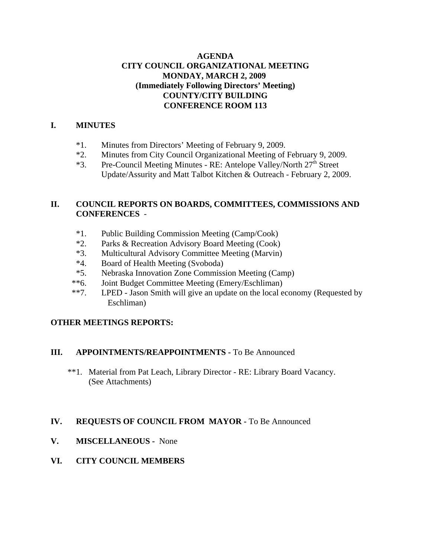## **AGENDA CITY COUNCIL ORGANIZATIONAL MEETING MONDAY, MARCH 2, 2009 (Immediately Following Directors' Meeting) COUNTY/CITY BUILDING CONFERENCE ROOM 113**

## **I. MINUTES**

- \*1. Minutes from Directors' Meeting of February 9, 2009.
- \*2. Minutes from City Council Organizational Meeting of February 9, 2009.
- \*3. Pre-Council Meeting Minutes RE: Antelope Valley/North 27<sup>th</sup> Street Update/Assurity and Matt Talbot Kitchen & Outreach - February 2, 2009.

## **II. COUNCIL REPORTS ON BOARDS, COMMITTEES, COMMISSIONS AND CONFERENCES** -

- \*1. Public Building Commission Meeting (Camp/Cook)
- \*2. Parks & Recreation Advisory Board Meeting (Cook)
- \*3. Multicultural Advisory Committee Meeting (Marvin)
- \*4. Board of Health Meeting (Svoboda)
- \*5. Nebraska Innovation Zone Commission Meeting (Camp)
- \*\*6. Joint Budget Committee Meeting (Emery/Eschliman)
- \*\*7. LPED Jason Smith will give an update on the local economy (Requested by Eschliman)

## **OTHER MEETINGS REPORTS:**

## **III. APPOINTMENTS/REAPPOINTMENTS -** To Be Announced

 \*\*1. Material from Pat Leach, Library Director - RE: Library Board Vacancy. (See Attachments)

## **IV. REQUESTS OF COUNCIL FROM MAYOR -** To Be Announced

- **V. MISCELLANEOUS -** None
- **VI. CITY COUNCIL MEMBERS**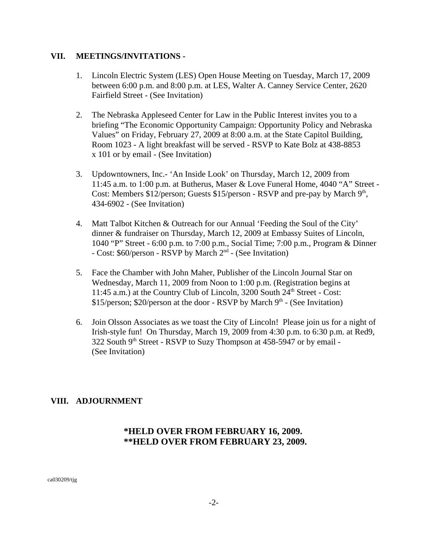#### **VII. MEETINGS/INVITATIONS -**

- 1. Lincoln Electric System (LES) Open House Meeting on Tuesday, March 17, 2009 between 6:00 p.m. and 8:00 p.m. at LES, Walter A. Canney Service Center, 2620 Fairfield Street - (See Invitation)
- 2. The Nebraska Appleseed Center for Law in the Public Interest invites you to a briefing "The Economic Opportunity Campaign: Opportunity Policy and Nebraska Values" on Friday, February 27, 2009 at 8:00 a.m. at the State Capitol Building, Room 1023 - A light breakfast will be served - RSVP to Kate Bolz at 438-8853 x 101 or by email - (See Invitation)
- 3. Updowntowners, Inc.- 'An Inside Look' on Thursday, March 12, 2009 from 11:45 a.m. to 1:00 p.m. at Butherus, Maser & Love Funeral Home, 4040 "A" Street - Cost: Members \$12/person; Guests \$15/person - RSVP and pre-pay by March  $9<sup>th</sup>$ , 434-6902 - (See Invitation)
- 4. Matt Talbot Kitchen & Outreach for our Annual 'Feeding the Soul of the City' dinner & fundraiser on Thursday, March 12, 2009 at Embassy Suites of Lincoln, 1040 "P" Street - 6:00 p.m. to 7:00 p.m., Social Time; 7:00 p.m., Program & Dinner - Cost: \$60/person - RSVP by March 2nd - (See Invitation)
- 5. Face the Chamber with John Maher, Publisher of the Lincoln Journal Star on Wednesday, March 11, 2009 from Noon to 1:00 p.m. (Registration begins at 11:45 a.m.) at the Country Club of Lincoln, 3200 South 24<sup>th</sup> Street - Cost:  $$15/person$ ;  $$20/person$  at the door - RSVP by March  $9<sup>th</sup>$  - (See Invitation)
- 6. Join Olsson Associates as we toast the City of Lincoln! Please join us for a night of Irish-style fun! On Thursday, March 19, 2009 from 4:30 p.m. to 6:30 p.m. at Red9,  $322$  South 9<sup>th</sup> Street - RSVP to Suzy Thompson at 458-5947 or by email -(See Invitation)

## **VIII. ADJOURNMENT**

# **\*HELD OVER FROM FEBRUARY 16, 2009. \*\*HELD OVER FROM FEBRUARY 23, 2009.**

ca030209/tjg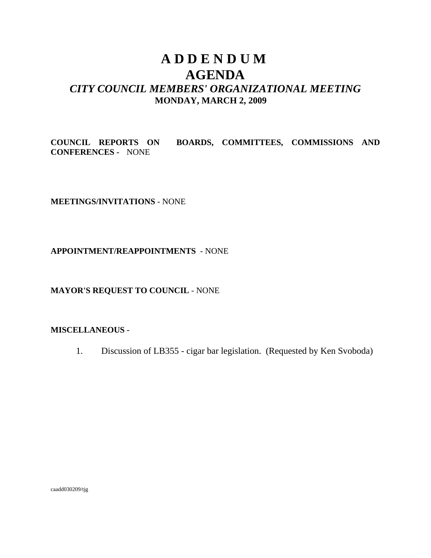# **A D D E N D U M AGENDA** *CITY COUNCIL MEMBERS' ORGANIZATIONAL MEETING* **MONDAY, MARCH 2, 2009**

**COUNCIL REPORTS ON BOARDS, COMMITTEES, COMMISSIONS AND CONFERENCES -** NONE

**MEETINGS/INVITATIONS** - NONE

**APPOINTMENT/REAPPOINTMENTS** - NONE

**MAYOR'S REQUEST TO COUNCIL** - NONE

#### **MISCELLANEOUS -**

1. Discussion of LB355 - cigar bar legislation. (Requested by Ken Svoboda)

caadd030209/tjg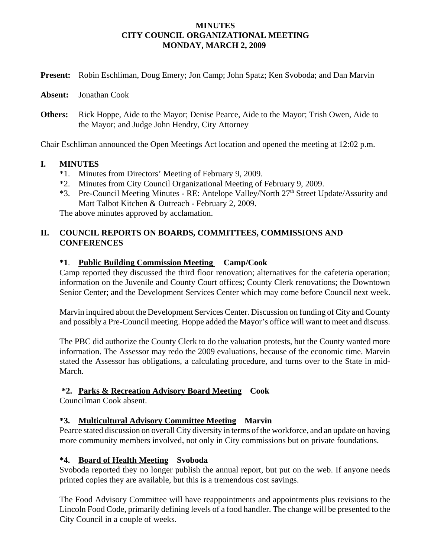#### **MINUTES CITY COUNCIL ORGANIZATIONAL MEETING MONDAY, MARCH 2, 2009**

| Present: Robin Eschliman, Doug Emery; Jon Camp; John Spatz; Ken Svoboda; and Dan Marvin |  |  |  |
|-----------------------------------------------------------------------------------------|--|--|--|
|                                                                                         |  |  |  |

**Absent:** Jonathan Cook

**Others:** Rick Hoppe, Aide to the Mayor; Denise Pearce, Aide to the Mayor; Trish Owen, Aide to the Mayor; and Judge John Hendry, City Attorney

Chair Eschliman announced the Open Meetings Act location and opened the meeting at 12:02 p.m.

#### **I. MINUTES**

- \*1. Minutes from Directors' Meeting of February 9, 2009.
- \*2. Minutes from City Council Organizational Meeting of February 9, 2009.
- \*3. Pre-Council Meeting Minutes RE: Antelope Valley/North 27<sup>th</sup> Street Update/Assurity and Matt Talbot Kitchen & Outreach - February 2, 2009.

The above minutes approved by acclamation.

## **II. COUNCIL REPORTS ON BOARDS, COMMITTEES, COMMISSIONS AND CONFERENCES**

#### **\*1**. **Public Building Commission Meeting Camp/Cook**

Camp reported they discussed the third floor renovation; alternatives for the cafeteria operation; information on the Juvenile and County Court offices; County Clerk renovations; the Downtown Senior Center; and the Development Services Center which may come before Council next week.

Marvin inquired about the Development Services Center. Discussion on funding of City and County and possibly a Pre-Council meeting. Hoppe added the Mayor's office will want to meet and discuss.

The PBC did authorize the County Clerk to do the valuation protests, but the County wanted more information. The Assessor may redo the 2009 evaluations, because of the economic time. Marvin stated the Assessor has obligations, a calculating procedure, and turns over to the State in mid-March.

## **\*2. Parks & Recreation Advisory Board Meeting Cook**

Councilman Cook absent.

## **\*3. Multicultural Advisory Committee Meeting Marvin**

Pearce stated discussion on overall City diversity in terms of the workforce, and an update on having more community members involved, not only in City commissions but on private foundations.

## **\*4. Board of Health Meeting Svoboda**

Svoboda reported they no longer publish the annual report, but put on the web. If anyone needs printed copies they are available, but this is a tremendous cost savings.

The Food Advisory Committee will have reappointments and appointments plus revisions to the Lincoln Food Code, primarily defining levels of a food handler. The change will be presented to the City Council in a couple of weeks.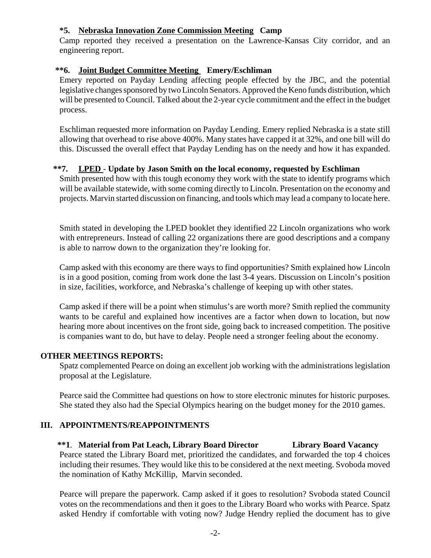## **\*5. Nebraska Innovation Zone Commission Meeting Camp**

Camp reported they received a presentation on the Lawrence-Kansas City corridor, and an engineering report.

## **\*\*6. Joint Budget Committee Meeting Emery/Eschliman**

Emery reported on Payday Lending affecting people effected by the JBC, and the potential legislative changes sponsored by two Lincoln Senators. Approved the Keno funds distribution, which will be presented to Council. Talked about the 2-year cycle commitment and the effect in the budget process.

Eschliman requested more information on Payday Lending. Emery replied Nebraska is a state still allowing that overhead to rise above 400%. Many states have capped it at 32%, and one bill will do this. Discussed the overall effect that Payday Lending has on the needy and how it has expanded.

#### **\*\*7. LPED** - **Update by Jason Smith on the local economy, requested by Eschliman**

Smith presented how with this tough economy they work with the state to identify programs which will be available statewide, with some coming directly to Lincoln. Presentation on the economy and projects. Marvin started discussion on financing, and tools which may lead a company to locate here.

Smith stated in developing the LPED booklet they identified 22 Lincoln organizations who work with entrepreneurs. Instead of calling 22 organizations there are good descriptions and a company is able to narrow down to the organization they're looking for.

Camp asked with this economy are there ways to find opportunities? Smith explained how Lincoln is in a good position, coming from work done the last 3-4 years. Discussion on Lincoln's position in size, facilities, workforce, and Nebraska's challenge of keeping up with other states.

Camp asked if there will be a point when stimulus's are worth more? Smith replied the community wants to be careful and explained how incentives are a factor when down to location, but now hearing more about incentives on the front side, going back to increased competition. The positive is companies want to do, but have to delay. People need a stronger feeling about the economy.

#### **OTHER MEETINGS REPORTS:**

Spatz complemented Pearce on doing an excellent job working with the administrations legislation proposal at the Legislature.

Pearce said the Committee had questions on how to store electronic minutes for historic purposes. She stated they also had the Special Olympics hearing on the budget money for the 2010 games.

## **III. APPOINTMENTS/REAPPOINTMENTS**

 **\*\*1**. **Material from Pat Leach, Library Board Director Library Board Vacancy** Pearce stated the Library Board met, prioritized the candidates, and forwarded the top 4 choices including their resumes. They would like this to be considered at the next meeting. Svoboda moved the nomination of Kathy McKillip, Marvin seconded.

Pearce will prepare the paperwork. Camp asked if it goes to resolution? Svoboda stated Council votes on the recommendations and then it goes to the Library Board who works with Pearce. Spatz asked Hendry if comfortable with voting now? Judge Hendry replied the document has to give